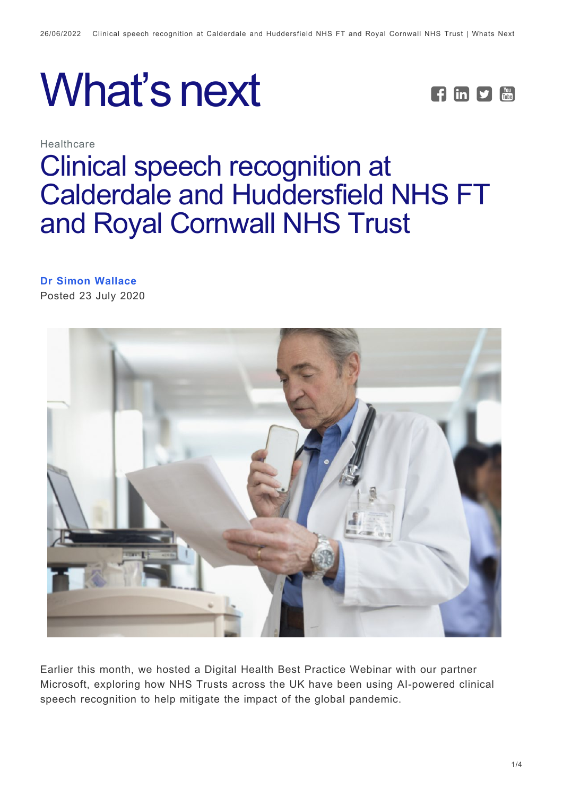



**Healthcare** 

# [Clinical speech recognition at](https://whatsnext.nuance.com/en-gb/healthcare/clinical-speech-recognition-nhs-trusts-2020/) [Calderdale and Huddersfield NHS FT](https://whatsnext.nuance.com/en-gb/healthcare/clinical-speech-recognition-nhs-trusts-2020/) [and Royal Cornwall NHS Trust](https://whatsnext.nuance.com/en-gb/healthcare/clinical-speech-recognition-nhs-trusts-2020/)

### **[Dr Simon Wallace](https://whatsnext.nuance.com/en-gb/author/simonwallace/)**

Posted 23 July 2020



Earlier this month, we hosted a Digital Health Best Practice Webinar with our partner Microsoft, exploring how NHS Trusts across the UK have been using AI-powered clinical speech recognition to help mitigate the impact of the global pandemic.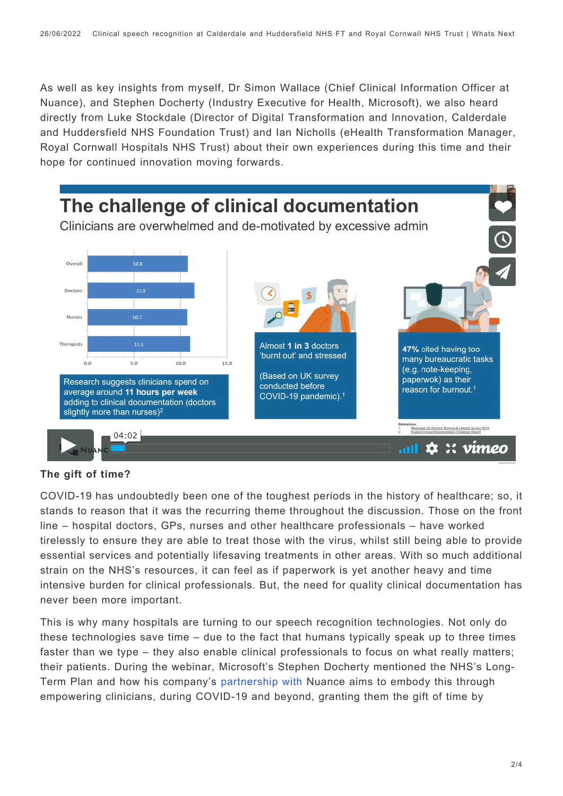As well as key insights from myself, Dr Simon Wallace (Chief Clinical Information Officer at Nuance), and Stephen Docherty (Industry Executive for Health, Microsoft), we also heard directly from Luke Stockdale (Director of Digital Transformation and Innovation, Calderdale and Huddersfield NHS Foundation Trust) and Ian Nicholls (eHealth Transformation Manager, Royal Cornwall Hospitals NHS Trust) about their own experiences during this time and their hope for continued innovation moving forwards.



#### **The gift of time?**

COVID-19 has undoubtedly been one of the toughest periods in the history of healthcare; so, it stands to reason that it was the recurring theme throughout the discussion. Those on the front line – hospital doctors, GPs, nurses and other healthcare professionals – have worked tirelessly to ensure they are able to treat those with the virus, whilst still being able to provide essential services and potentially lifesaving treatments in other areas. With so much additional strain on the NHS's resources, it can feel as if paperwork is yet another heavy and time intensive burden for clinical professionals. But, the need for quality clinical documentation has never been more important.

This is why many hospitals are turning to our speech recognition technologies. Not only do these technologies save time – due to the fact that humans typically speak up to three times faster than we type – they also enable clinical professionals to focus on what really matters; their patients. During the webinar, Microsoft's Stephen Docherty mentioned the NHS's Long-Term Plan and how his company's [partnership with](https://www.nuance.com/about-us/newsroom/press-releases/2019/Nuance-and-Microsoft-partner-to-transform-the-doctor-patient-experience.html) Nuance aims to embody this through empowering clinicians, during COVID-19 and beyond, granting them the gift of time by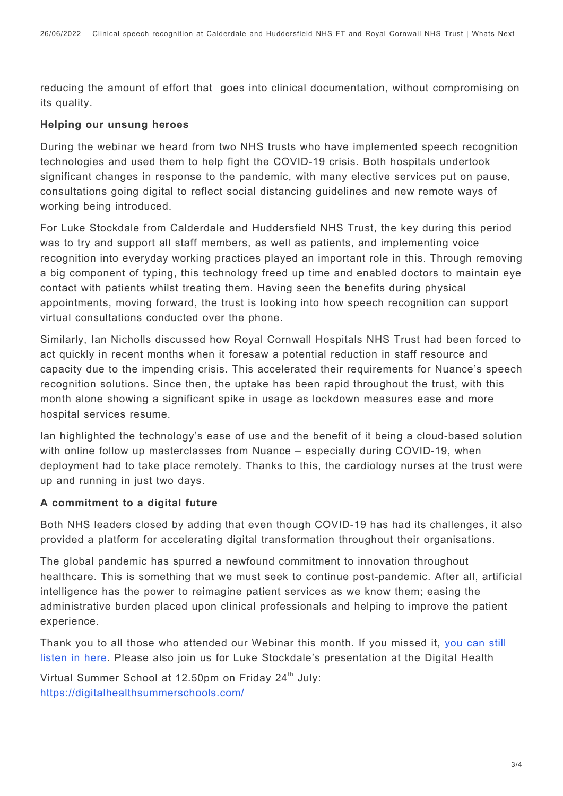reducing the amount of effort that goes into clinical documentation, without compromising on its quality.

#### **Helping our unsung heroes**

During the webinar we heard from two NHS trusts who have implemented speech recognition technologies and used them to help fight the COVID-19 crisis. Both hospitals undertook significant changes in response to the pandemic, with many elective services put on pause, consultations going digital to reflect social distancing guidelines and new remote ways of working being introduced.

For Luke Stockdale from Calderdale and Huddersfield NHS Trust, the key during this period was to try and support all staff members, as well as patients, and implementing voice recognition into everyday working practices played an important role in this. Through removing a big component of typing, this technology freed up time and enabled doctors to maintain eye contact with patients whilst treating them. Having seen the benefits during physical appointments, moving forward, the trust is looking into how speech recognition can support virtual consultations conducted over the phone.

Similarly, Ian Nicholls discussed how Royal Cornwall Hospitals NHS Trust had been forced to act quickly in recent months when it foresaw a potential reduction in staff resource and capacity due to the impending crisis. This accelerated their requirements for Nuance's speech recognition solutions. Since then, the uptake has been rapid throughout the trust, with this month alone showing a significant spike in usage as lockdown measures ease and more hospital services resume.

Ian highlighted the technology's ease of use and the benefit of it being a cloud-based solution with online follow up masterclasses from Nuance – especially during COVID-19, when deployment had to take place remotely. Thanks to this, the cardiology nurses at the trust were up and running in just two days.

#### **A commitment to a digital future**

Both NHS leaders closed by adding that even though COVID-19 has had its challenges, it also provided a platform for accelerating digital transformation throughout their organisations.

The global pandemic has spurred a newfound commitment to innovation throughout healthcare. This is something that we must seek to continue post-pandemic. After all, artificial intelligence has the power to reimagine patient services as we know them; easing the administrative burden placed upon clinical professionals and helping to improve the patient experience.

Thank you to all those who attended our Webinar this month. If you missed it, [you can still](https://www.digitalhealth.net/events/how-tech-from-microsoft-and-nuance-is-supporting-the-nhs-during-the-covid-19-pandemic-and-beyond/) [listen in here](https://www.digitalhealth.net/events/how-tech-from-microsoft-and-nuance-is-supporting-the-nhs-during-the-covid-19-pandemic-and-beyond/). Please also join us for Luke Stockdale's presentation at the Digital Health

Virtual Summer School at 12.50pm on Friday 24<sup>th</sup> July: <https://digitalhealthsummerschools.com/>